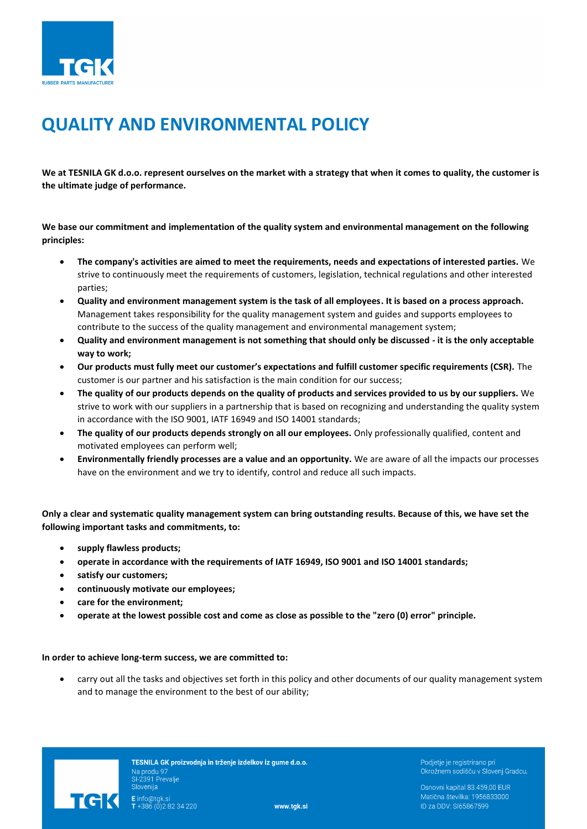

## **QUALITY AND ENVIRONMENTAL POLICY**

**We at TESNILA GK d.o.o. represent ourselves on the market with a strategy that when it comes to quality, the customer is the ultimate judge of performance.**

**We base our commitment and implementation of the quality system and environmental management on the following principles:**

- **The company's activities are aimed to meet the requirements, needs and expectations of interested parties.** We strive to continuously meet the requirements of customers, legislation, technical regulations and other interested parties;
- **Quality and environment management system is the task of all employees. It is based on a process approach.** Management takes responsibility for the quality management system and guides and supports employees to contribute to the success of the quality management and environmental management system;
- **Quality and environment management is not something that should only be discussed - it is the only acceptable way to work;**
- **Our products must fully meet our customer's expectations and fulfill customer specific requirements (CSR).** The customer is our partner and his satisfaction is the main condition for our success;
- **The quality of our products depends on the quality of products and services provided to us by our suppliers.** We strive to work with our suppliers in a partnership that is based on recognizing and understanding the quality system in accordance with the ISO 9001, IATF 16949 and ISO 14001 standards;
- **The quality of our products depends strongly on all our employees.** Only professionally qualified, content and motivated employees can perform well;
- **Environmentally friendly processes are a value and an opportunity.** We are aware of all the impacts our processes have on the environment and we try to identify, control and reduce all such impacts.

**Only a clear and systematic quality management system can bring outstanding results. Because of this, we have set the following important tasks and commitments, to:**

- **supply flawless products;**
- **operate in accordance with the requirements of IATF 16949, ISO 9001 and ISO 14001 standards;**
- **satisfy our customers;**
- **continuously motivate our employees;**
- **care for the environment;**
- **operate at the lowest possible cost and come as close as possible to the "zero (0) error" principle.**

## **In order to achieve long-term success, we are committed to:**

• carry out all the tasks and objectives set forth in this policy and other documents of our quality management system and to manage the environment to the best of our ability;



TESNILA GK proizvodnja in trženje izdelkov iz gume d.o.o. Na produ 97 **E** info@tgk.si<br>**T** +386 (0)2 82 34 220

Podjetje je registrirano pri Okrožnem sodišču v Slovenj Gradcu.

Osnovni kapital 83.459,00 EUR Matična številka: 1956833000 ID za DDV: SI65867599